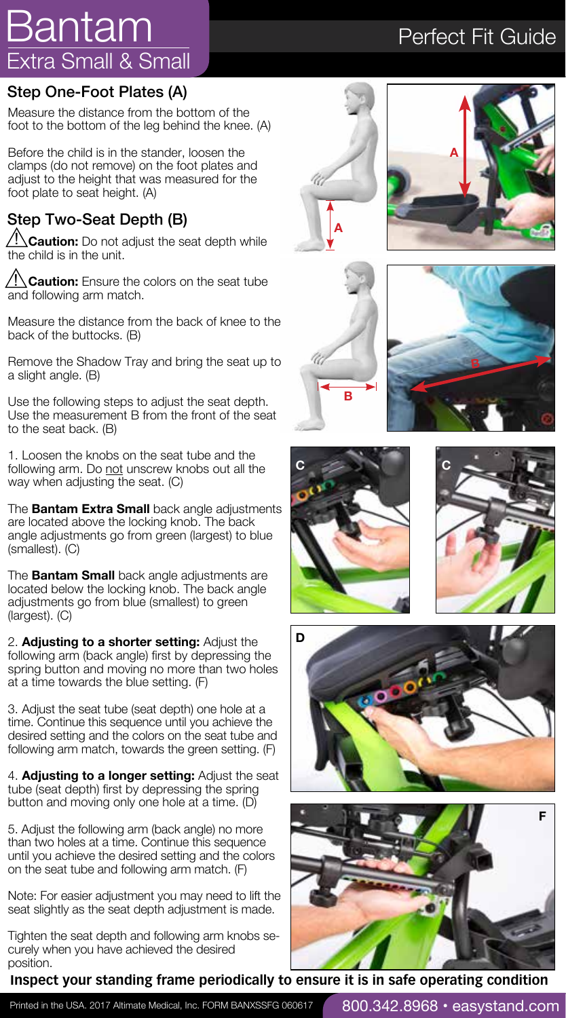# Extra Small & Small Bantam

### Step One-Foot Plates (A)

Measure the distance from the bottom of the foot to the bottom of the leg behind the knee. (A)

Before the child is in the stander, loosen the clamps (do not remove) on the foot plates and adjust to the height that was measured for the foot plate to seat height. (A)

## Step Two-Seat Depth (B)

**Caution:** Do not adjust the seat depth while the child is in the unit.

**Caution:** Ensure the colors on the seat tube and following arm match.

Measure the distance from the back of knee to the back of the buttocks. (B)

Remove the Shadow Tray and bring the seat up to a slight angle. (B)

Use the following steps to adjust the seat depth. Use the measurement B from the front of the seat to the seat back. (B)

1. Loosen the knobs on the seat tube and the following arm. Do not unscrew knobs out all the way when adjusting the seat. (C)

The **Bantam Extra Small** back angle adjustments are located above the locking knob. The back angle adjustments go from green (largest) to blue (smallest). (C)

The **Bantam Small** back angle adjustments are located below the locking knob. The back angle adjustments go from blue (smallest) to green (largest). (C)

2. **Adjusting to a shorter setting:** Adjust the following arm (back angle) first by depressing the spring button and moving no more than two holes at a time towards the blue setting. (F)

3. Adjust the seat tube (seat depth) one hole at a time. Continue this sequence until you achieve the desired setting and the colors on the seat tube and following arm match, towards the green setting. (F)

4. **Adjusting to a longer setting:** Adjust the seat tube (seat depth) first by depressing the spring button and moving only one hole at a time. (D)

5. Adjust the following arm (back angle) no more than two holes at a time. Continue this sequence until you achieve the desired setting and the colors on the seat tube and following arm match. (F)

Note: For easier adjustment you may need to lift the seat slightly as the seat depth adjustment is made.

Tighten the seat depth and following arm knobs securely when you have achieved the desired position.

### **Inspect your standing frame periodically to ensure it is in safe operating condition**

## Perfect Fit Guide

**A**